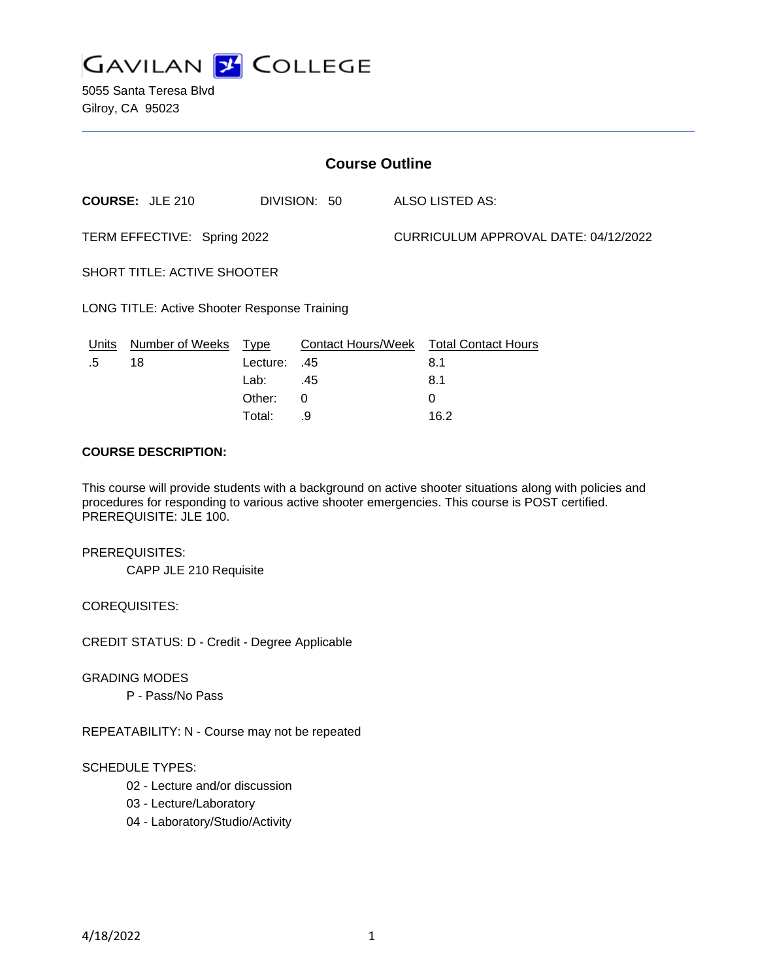

5055 Santa Teresa Blvd Gilroy, CA 95023

| <b>Course Outline</b>                        |                        |              |     |                                      |                                        |
|----------------------------------------------|------------------------|--------------|-----|--------------------------------------|----------------------------------------|
|                                              | <b>COURSE: JLE 210</b> | DIVISION: 50 |     | <b>ALSO LISTED AS:</b>               |                                        |
| TERM EFFECTIVE: Spring 2022                  |                        |              |     | CURRICULUM APPROVAL DATE: 04/12/2022 |                                        |
| <b>SHORT TITLE: ACTIVE SHOOTER</b>           |                        |              |     |                                      |                                        |
| LONG TITLE: Active Shooter Response Training |                        |              |     |                                      |                                        |
| Units                                        | Number of Weeks Type   |              |     |                                      | Contact Hours/Week Total Contact Hours |
| .5                                           | 18                     | Lecture:     | .45 |                                      | 8.1                                    |
|                                              |                        | Lab:         | .45 |                                      | 8.1                                    |
|                                              |                        | Other:       | 0   |                                      | 0                                      |
|                                              |                        | Total:       | .9  |                                      | 16.2                                   |

#### **COURSE DESCRIPTION:**

This course will provide students with a background on active shooter situations along with policies and procedures for responding to various active shooter emergencies. This course is POST certified. PREREQUISITE: JLE 100.

PREREQUISITES: CAPP JLE 210 Requisite

COREQUISITES:

CREDIT STATUS: D - Credit - Degree Applicable

GRADING MODES

P - Pass/No Pass

REPEATABILITY: N - Course may not be repeated

#### SCHEDULE TYPES:

- 02 Lecture and/or discussion
- 03 Lecture/Laboratory
- 04 Laboratory/Studio/Activity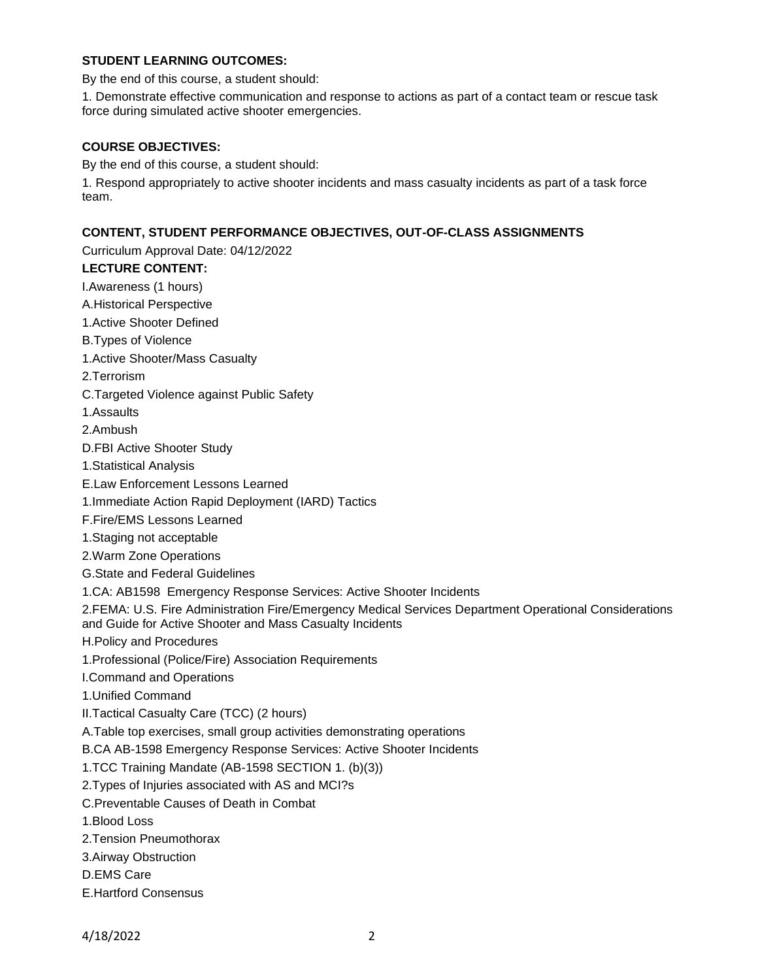## **STUDENT LEARNING OUTCOMES:**

By the end of this course, a student should:

1. Demonstrate effective communication and response to actions as part of a contact team or rescue task force during simulated active shooter emergencies.

#### **COURSE OBJECTIVES:**

By the end of this course, a student should:

1. Respond appropriately to active shooter incidents and mass casualty incidents as part of a task force team.

# **CONTENT, STUDENT PERFORMANCE OBJECTIVES, OUT-OF-CLASS ASSIGNMENTS**

Curriculum Approval Date: 04/12/2022 **LECTURE CONTENT:** I.Awareness (1 hours) A.Historical Perspective 1.Active Shooter Defined B.Types of Violence 1.Active Shooter/Mass Casualty 2.Terrorism C.Targeted Violence against Public Safety 1.Assaults 2.Ambush D.FBI Active Shooter Study 1.Statistical Analysis E.Law Enforcement Lessons Learned 1.Immediate Action Rapid Deployment (IARD) Tactics F.Fire/EMS Lessons Learned 1.Staging not acceptable 2.Warm Zone Operations G.State and Federal Guidelines 1.CA: AB1598 Emergency Response Services: Active Shooter Incidents 2.FEMA: U.S. Fire Administration Fire/Emergency Medical Services Department Operational Considerations and Guide for Active Shooter and Mass Casualty Incidents H.Policy and Procedures 1.Professional (Police/Fire) Association Requirements I.Command and Operations 1.Unified Command II.Tactical Casualty Care (TCC) (2 hours) A.Table top exercises, small group activities demonstrating operations B.CA AB-1598 Emergency Response Services: Active Shooter Incidents 1.TCC Training Mandate (AB-1598 SECTION 1. (b)(3)) 2.Types of Injuries associated with AS and MCI?s C.Preventable Causes of Death in Combat 1.Blood Loss 2.Tension Pneumothorax 3.Airway Obstruction D.EMS Care E.Hartford Consensus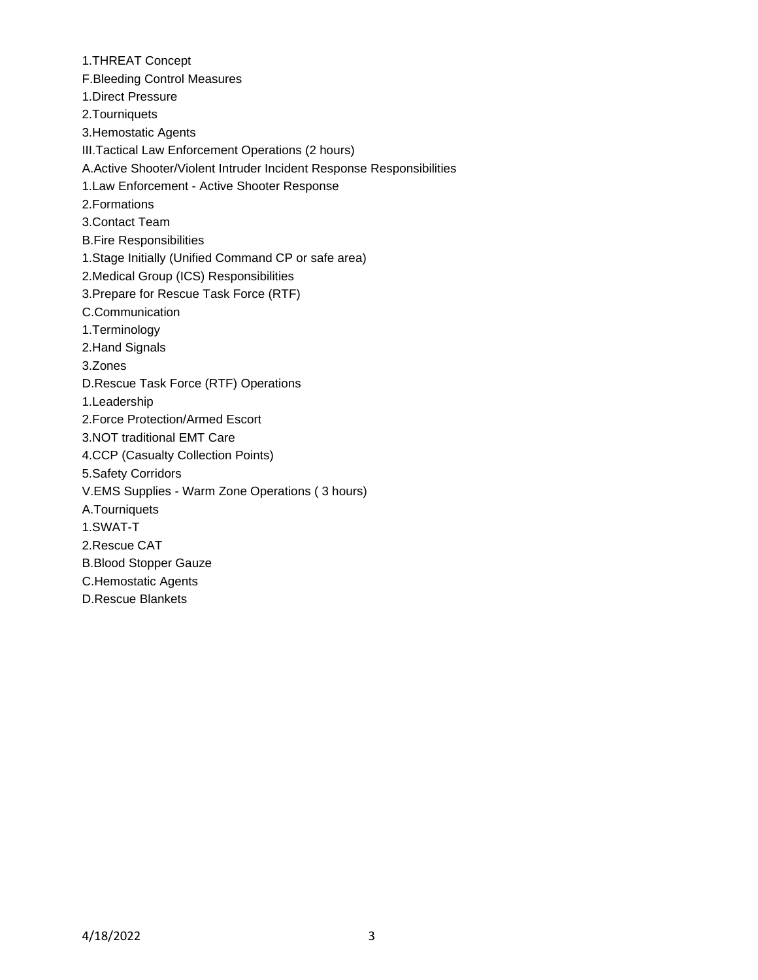1.THREAT Concept F.Bleeding Control Measures 1.Direct Pressure 2.Tourniquets 3.Hemostatic Agents III.Tactical Law Enforcement Operations (2 hours) A.Active Shooter/Violent Intruder Incident Response Responsibilities 1.Law Enforcement - Active Shooter Response 2.Formations 3.Contact Team B.Fire Responsibilities 1.Stage Initially (Unified Command CP or safe area) 2.Medical Group (ICS) Responsibilities 3.Prepare for Rescue Task Force (RTF) C.Communication 1.Terminology 2.Hand Signals 3.Zones D.Rescue Task Force (RTF) Operations 1.Leadership 2.Force Protection/Armed Escort 3.NOT traditional EMT Care 4.CCP (Casualty Collection Points) 5.Safety Corridors V.EMS Supplies - Warm Zone Operations ( 3 hours) A.Tourniquets 1.SWAT-T 2.Rescue CAT B.Blood Stopper Gauze C.Hemostatic Agents D.Rescue Blankets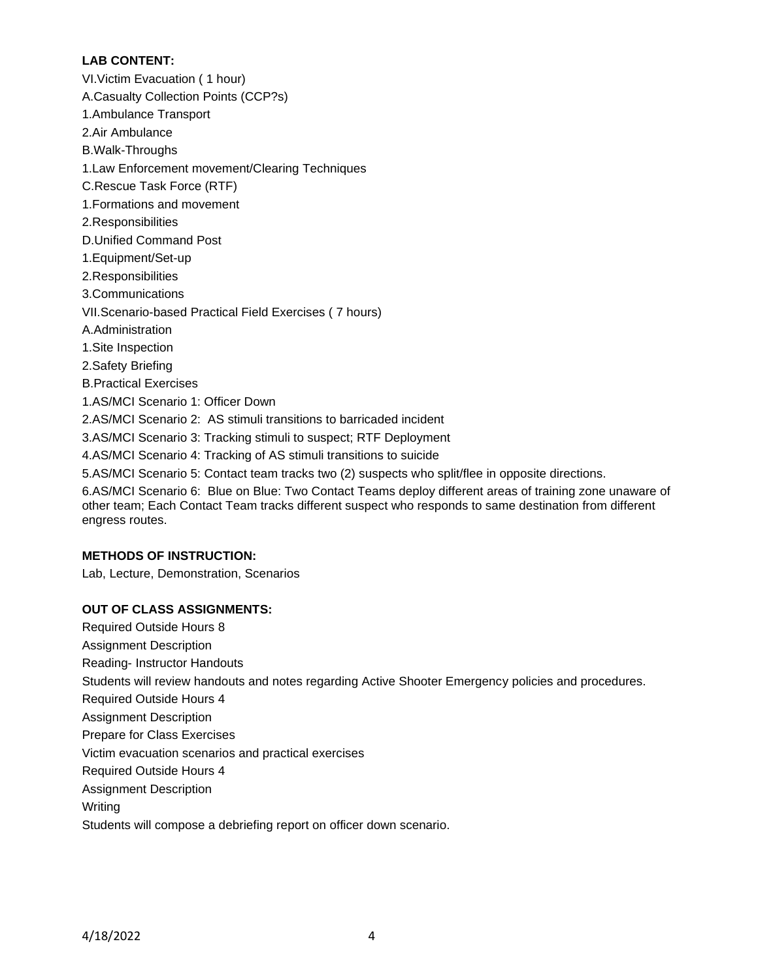## **LAB CONTENT:**

VI.Victim Evacuation ( 1 hour) A.Casualty Collection Points (CCP?s) 1.Ambulance Transport 2.Air Ambulance B.Walk-Throughs 1.Law Enforcement movement/Clearing Techniques C.Rescue Task Force (RTF) 1.Formations and movement 2.Responsibilities D.Unified Command Post 1.Equipment/Set-up 2.Responsibilities 3.Communications VII.Scenario-based Practical Field Exercises ( 7 hours) A.Administration 1.Site Inspection 2.Safety Briefing B.Practical Exercises 1.AS/MCI Scenario 1: Officer Down 2.AS/MCI Scenario 2: AS stimuli transitions to barricaded incident 3.AS/MCI Scenario 3: Tracking stimuli to suspect; RTF Deployment 4.AS/MCI Scenario 4: Tracking of AS stimuli transitions to suicide 5.AS/MCI Scenario 5: Contact team tracks two (2) suspects who split/flee in opposite directions. 6.AS/MCI Scenario 6: Blue on Blue: Two Contact Teams deploy different areas of training zone unaware of other team; Each Contact Team tracks different suspect who responds to same destination from different

## **METHODS OF INSTRUCTION:**

engress routes.

Lab, Lecture, Demonstration, Scenarios

## **OUT OF CLASS ASSIGNMENTS:**

Required Outside Hours 8 Assignment Description Reading- Instructor Handouts Students will review handouts and notes regarding Active Shooter Emergency policies and procedures. Required Outside Hours 4 Assignment Description Prepare for Class Exercises Victim evacuation scenarios and practical exercises Required Outside Hours 4 Assignment Description Writing

Students will compose a debriefing report on officer down scenario.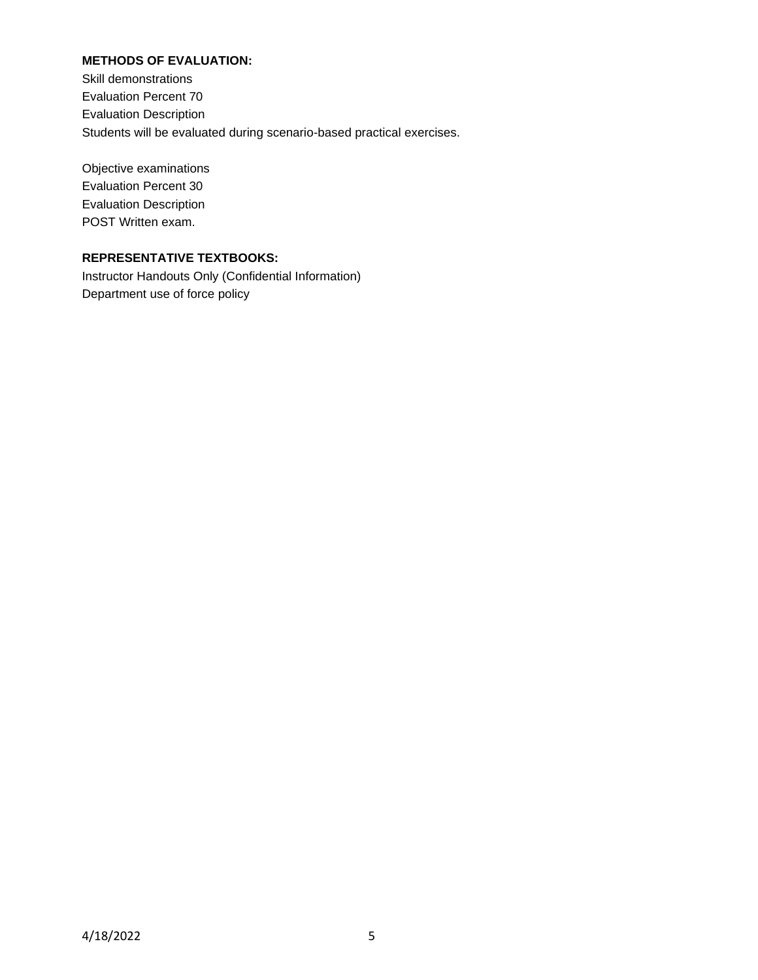## **METHODS OF EVALUATION:**

Skill demonstrations Evaluation Percent 70 Evaluation Description Students will be evaluated during scenario-based practical exercises.

Objective examinations Evaluation Percent 30 Evaluation Description POST Written exam.

# **REPRESENTATIVE TEXTBOOKS:**

Instructor Handouts Only (Confidential Information) Department use of force policy